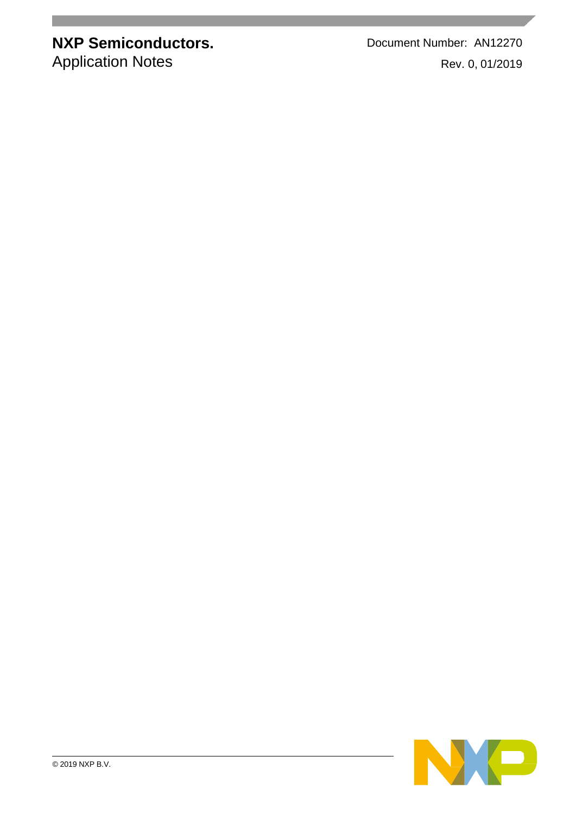**NXP Semiconductors.** Document Number: AN12270 Application Notes Rev. 0, 01/2019

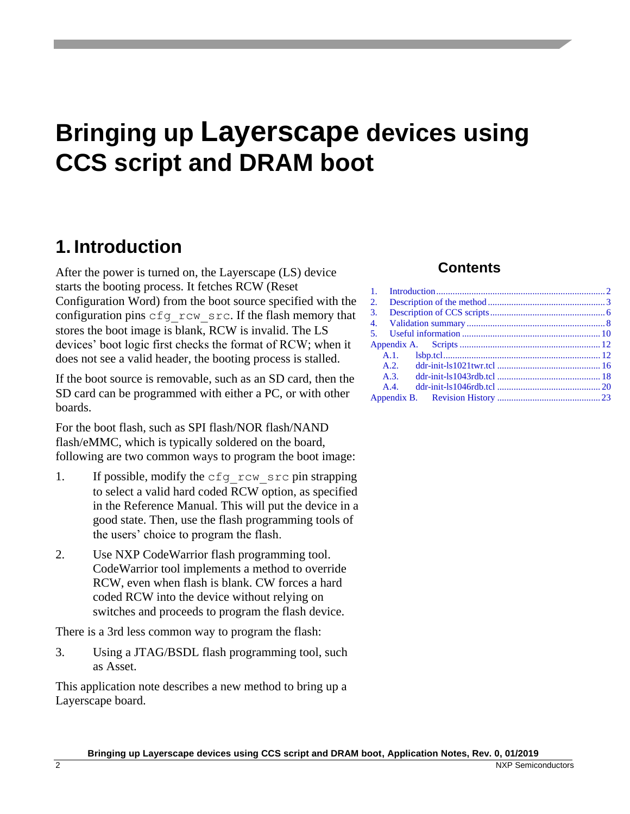# **Bringing up Layerscape devices using CCS script and DRAM boot**

### <span id="page-1-0"></span>**1. Introduction**

After the power is turned on, the Layerscape (LS) device starts the booting process. It fetches RCW (Reset Configuration Word) from the boot source specified with the configuration pins cfg\_rcw\_src. If the flash memory that stores the boot image is blank, RCW is invalid. The LS devices' boot logic first checks the format of RCW; when it does not see a valid header, the booting process is stalled.

If the boot source is removable, such as an SD card, then the SD card can be programmed with either a PC, or with other boards.

For the boot flash, such as SPI flash/NOR flash/NAND flash/eMMC, which is typically soldered on the board, following are two common ways to program the boot image:

- 1. If possible, modify the cfg rcw src pin strapping to select a valid hard coded RCW option, as specified in the Reference Manual. This will put the device in a good state. Then, use the flash programming tools of the users' choice to program the flash.
- 2. Use NXP CodeWarrior flash programming tool. CodeWarrior tool implements a method to override RCW, even when flash is blank. CW forces a hard coded RCW into the device without relying on switches and proceeds to program the flash device.

There is a 3rd less common way to program the flash:

3. Using a JTAG/BSDL flash programming tool, such as Asset.

This application note describes a new method to bring up a Layerscape board.

#### **Contents**

| 1.  |  |
|-----|--|
| 2.  |  |
| 3.  |  |
|     |  |
|     |  |
|     |  |
|     |  |
|     |  |
|     |  |
| A.4 |  |
|     |  |
|     |  |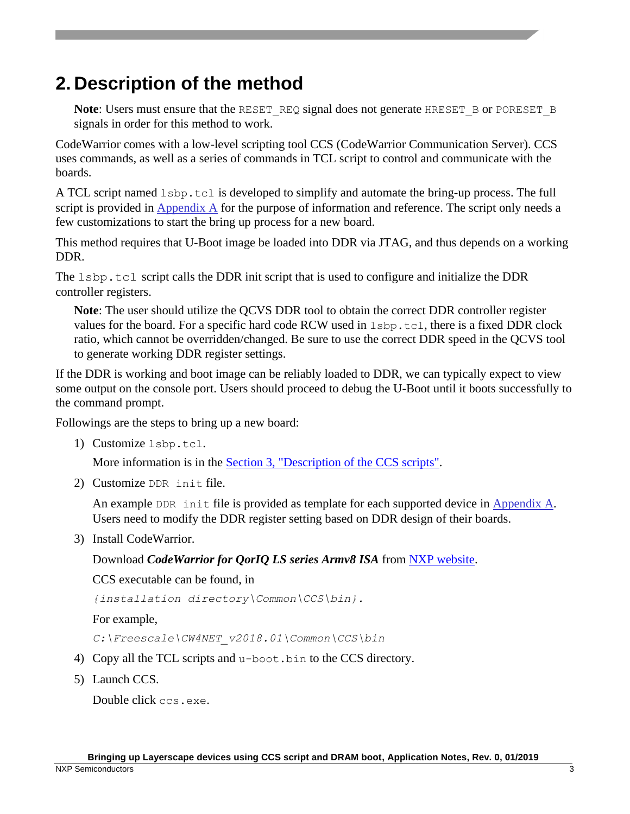### <span id="page-2-0"></span>**2. Description of the method**

**Note:** Users must ensure that the RESET\_REQ signal does not generate HRESET\_B or PORESET\_B signals in order for this method to work.

CodeWarrior comes with a low-level scripting tool CCS (CodeWarrior Communication Server). CCS uses commands, as well as a series of commands in TCL script to control and communicate with the boards.

A TCL script named lsbp.tcl is developed to simplify and automate the bring-up process. The full script is provided in [Appendix A](#page-11-0) for the purpose of information and reference. The script only needs a few customizations to start the bring up process for a new board.

This method requires that U-Boot image be loaded into DDR via JTAG, and thus depends on a working DDR.

The 1sbp.tcl script calls the DDR init script that is used to configure and initialize the DDR controller registers.

**Note**: The user should utilize the QCVS DDR tool to obtain the correct DDR controller register values for the board. For a specific hard code RCW used in lsbp.tcl, there is a fixed DDR clock ratio, which cannot be overridden/changed. Be sure to use the correct DDR speed in the QCVS tool to generate working DDR register settings.

If the DDR is working and boot image can be reliably loaded to DDR, we can typically expect to view some output on the console port. Users should proceed to debug the U-Boot until it boots successfully to the command prompt.

Followings are the steps to bring up a new board:

1) Customize lsbp.tcl.

More information is in the **Section 3**, "Description of the CCS scripts".

2) Customize DDR init file.

An example DDR init file is provided as template for each supported device in [Appendix A.](#page-11-0) Users need to modify the DDR register setting based on DDR design of their boards.

3) Install CodeWarrior.

Download *CodeWarrior for QorIQ LS series Armv8 ISA* from [NXP website.](https://www.nxp.com/)

CCS executable can be found, in

*{installation directory\Common\CCS\bin}.*

For example,

*C:\Freescale\CW4NET\_v2018.01\Common\CCS\bin*

- 4) Copy all the TCL scripts and u-boot.bin to the CCS directory.
- 5) Launch CCS.

Double click ccs.exe.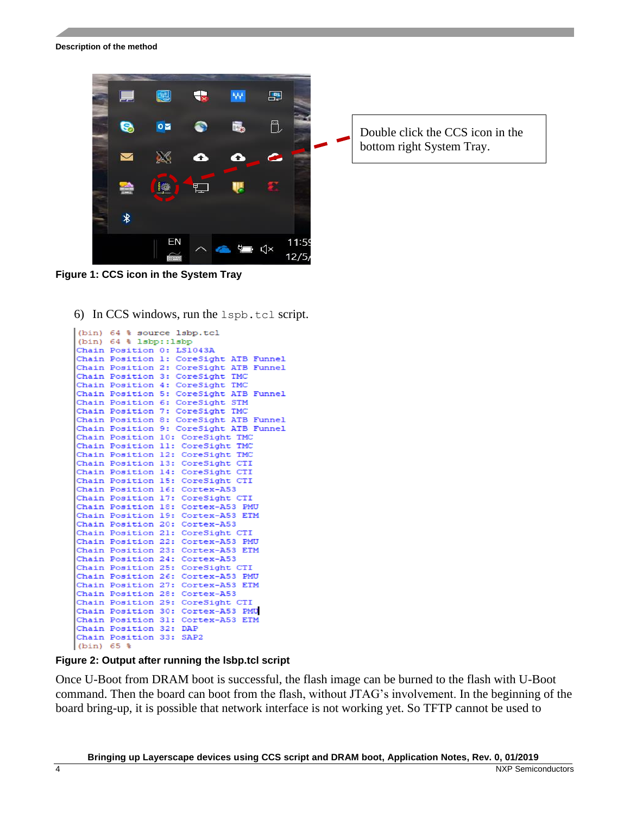

**Figure 1: CCS icon in the System Tray**

6) In CCS windows, run the  $\text{lspb.tcl script.}$ 

```
(bin) 64 % source 1sbp.tcl
(bin) 64 % lsbp::1sbp
Chain Position 0: LS1043A
Chain Position 1: CoreSight ATB Funnel
Chain Position 2: CoreSight ATB Funnel
Chain Position 3: CoreSight TMC
Chain Position 4: CoreSight TMC
Chain Position 5: CoreSight ATB Funnel
Chain Position 6: CoreSight STM
Chain Position 7: CoreSight TMC
Chain Position 8: CoreSight ATB Funnel
Chain Position 9: CoreSight ATB Funnel
Chain Position 10: CoreSight TMC
Chain Position 11: CoreSight TMC
Chain Position 12: CoreSight TMC
Chain Position 13: CoreSight CTI
Chain Position 14: CoreSight CTI
Chain Position 15: CoreSight CTI
Chain Position 16: Cortex-A53
Chain Position 17: CoreSight CTI
Chain Position 18: Cortex-A53 PMU
Chain Position 19: Cortex-A53 ETM
Chain Position 20: Cortex-A53
Chain Position 21: CoreSight CTI
Chain Position 22: Cortex-A53 PMU
Chain Position 23: Cortex-A53 ETM
Chain Position 24: Cortex-A53
Chain Position 25: CoreSight CTI
Chain Position 26: Cortex-A53 PMU
Chain Position 27: Cortex-A53 ETM
Chain Position 28: Cortex-A53
Chain Position 29: CoreSight CTI
Chain Position 30: Cortex-A53 PMU
Chain Position 31: Cortex-A53 ETM
Chain Position 32: DAP
Chain Position 33: SAP2
(bin) 65 %
```
**Figure 2: Output after running the lsbp.tcl script**

Once U-Boot from DRAM boot is successful, the flash image can be burned to the flash with U-Boot command. Then the board can boot from the flash, without JTAG's involvement. In the beginning of the board bring-up, it is possible that network interface is not working yet. So TFTP cannot be used to

Double click the CCS icon in the bottom right System Tray.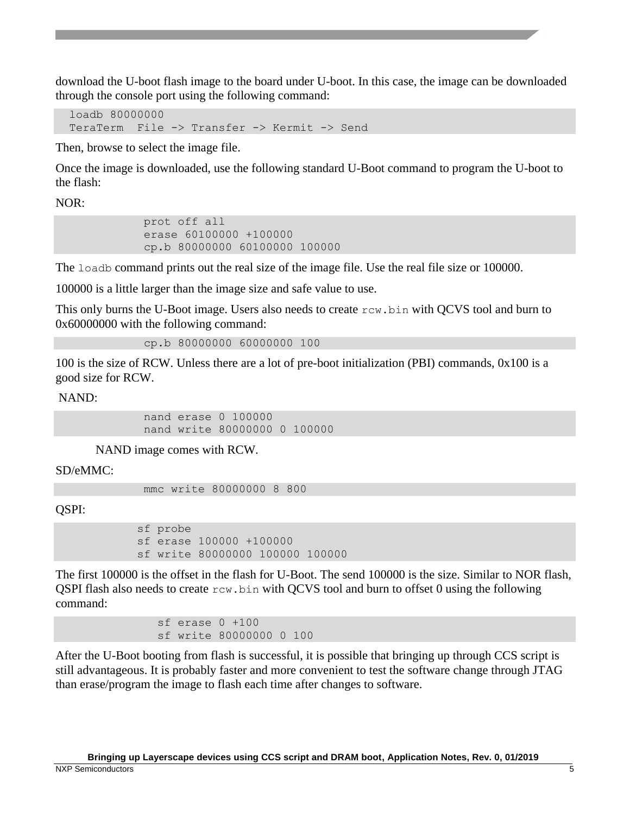download the U-boot flash image to the board under U-boot. In this case, the image can be downloaded through the console port using the following command:

 loadb 80000000 TeraTerm File -> Transfer -> Kermit -> Send

Then, browse to select the image file.

Once the image is downloaded, use the following standard U-Boot command to program the U-boot to the flash:

 $NOR:$ 

 prot off all erase 60100000 +100000 cp.b 80000000 60100000 100000

The loadb command prints out the real size of the image file. Use the real file size or 100000.

100000 is a little larger than the image size and safe value to use.

This only burns the U-Boot image. Users also needs to create rcw.bin with QCVS tool and burn to 0x60000000 with the following command:

cp.b 80000000 60000000 100

100 is the size of RCW. Unless there are a lot of pre-boot initialization (PBI) commands, 0x100 is a good size for RCW.

NAND:

 nand erase 0 100000 nand write 80000000 0 100000

NAND image comes with RCW.

SD/eMMC:

mmc write 80000000 8 800

QSPI:

 sf probe sf erase 100000 +100000 sf write 80000000 100000 100000

The first 100000 is the offset in the flash for U-Boot. The send 100000 is the size. Similar to NOR flash, QSPI flash also needs to create  $r \text{cw}$ . bin with QCVS tool and burn to offset 0 using the following command:

> sf erase 0 +100 sf write 80000000 0 100

After the U-Boot booting from flash is successful, it is possible that bringing up through CCS script is still advantageous. It is probably faster and more convenient to test the software change through JTAG than erase/program the image to flash each time after changes to software.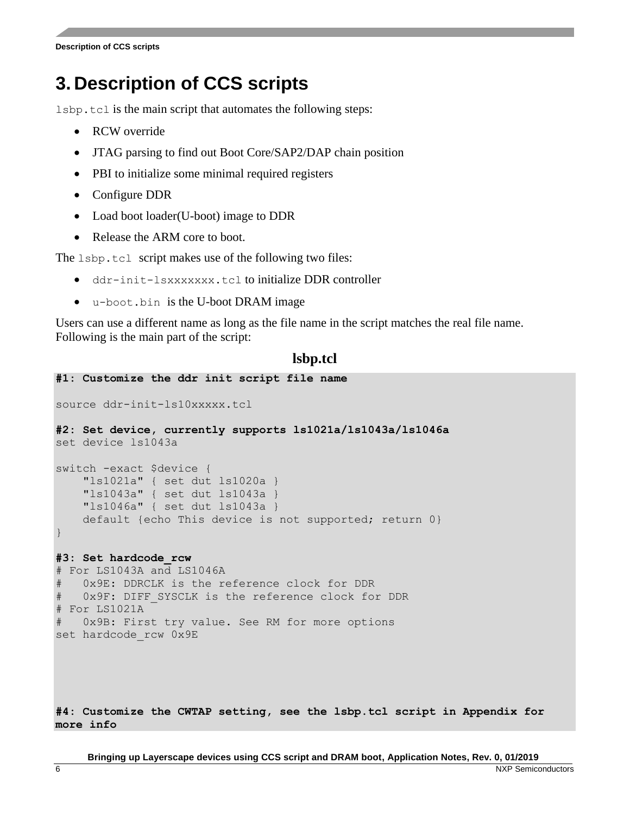### <span id="page-5-0"></span>**3. Description of CCS scripts**

lsbp.tcl is the main script that automates the following steps:

- RCW override
- JTAG parsing to find out Boot Core/SAP2/DAP chain position
- PBI to initialize some minimal required registers
- Configure DDR
- Load boot loader (U-boot) image to DDR
- Release the ARM core to boot.

The lsbp.tcl script makes use of the following two files:

- ddr-init-lsxxxxxxx.tcl to initialize DDR controller
- u-boot.bin is the U-boot DRAM image

Users can use a different name as long as the file name in the script matches the real file name. Following is the main part of the script:

#### **lsbp.tcl**

```
#1: Customize the ddr init script file name
source ddr-init-ls10xxxxx.tcl
#2: Set device, currently supports ls1021a/ls1043a/ls1046a
set device ls1043a
switch -exact $device {
     "ls1021a" { set dut ls1020a }
     "ls1043a" { set dut ls1043a }
     "ls1046a" { set dut ls1043a }
     default {echo This device is not supported; return 0}
}
#3: Set hardcode_rcw 
# For LS1043A and LS1046A
   0x9E: DDRCLK is the reference clock for DDR
   0x9F: DIFF SYSCLK is the reference clock for DDR
# For LS1021A
  0x9B: First try value. See RM for more options
set hardcode_rcw 0x9E
#4: Customize the CWTAP setting, see the lsbp.tcl script in Appendix for
```
**more info**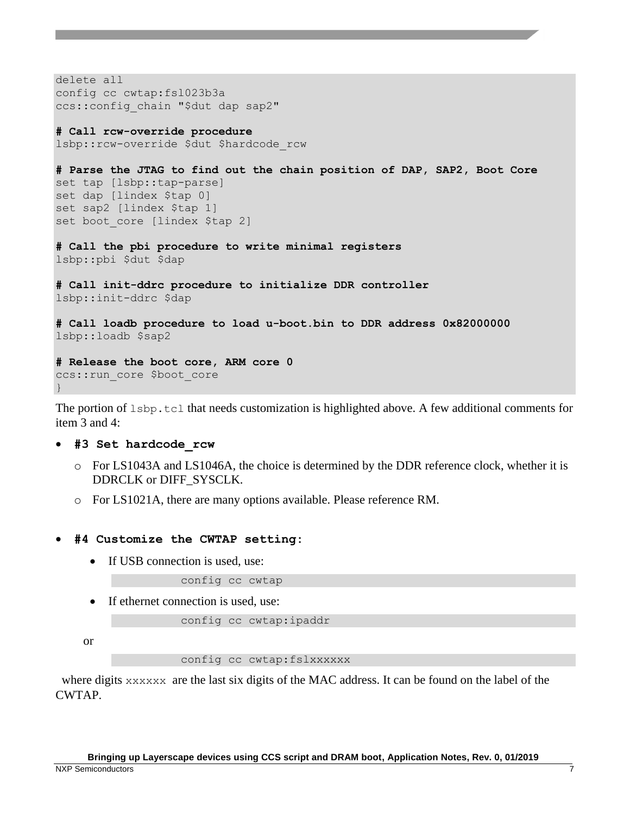```
delete all
config cc cwtap:fsl023b3a
ccs::config_chain "$dut dap sap2"
```

```
# Call rcw-override procedure
lsbp::rcw-override $dut $hardcode_rcw
```

```
# Parse the JTAG to find out the chain position of DAP, SAP2, Boot Core 
set tap [lsbp::tap-parse]
set dap [lindex $tap 0]
set sap2 [lindex $tap 1]
set boot core [lindex $tap 2]
```
**# Call the pbi procedure to write minimal registers** lsbp::pbi \$dut \$dap

**# Call init-ddrc procedure to initialize DDR controller** lsbp::init-ddrc \$dap

**# Call loadb procedure to load u-boot.bin to DDR address 0x82000000** lsbp::loadb \$sap2

```
# Release the boot core, ARM core 0
ccs:: run core $boot core
}
```
The portion of  $1$ sbp.tcl that needs customization is highlighted above. A few additional comments for item 3 and 4:

- **#3 Set hardcode\_rcw**
	- o For LS1043A and LS1046A, the choice is determined by the DDR reference clock, whether it is DDRCLK or DIFF\_SYSCLK.
	- o For LS1021A, there are many options available. Please reference RM.

#### • **#4 Customize the CWTAP setting:**

• If USB connection is used, use:

config cc cwtap

• If ethernet connection is used, use:

config cc cwtap:ipaddr

or

config cc cwtap:fslxxxxxx

where digits xxxxxx are the last six digits of the MAC address. It can be found on the label of the CWTAP.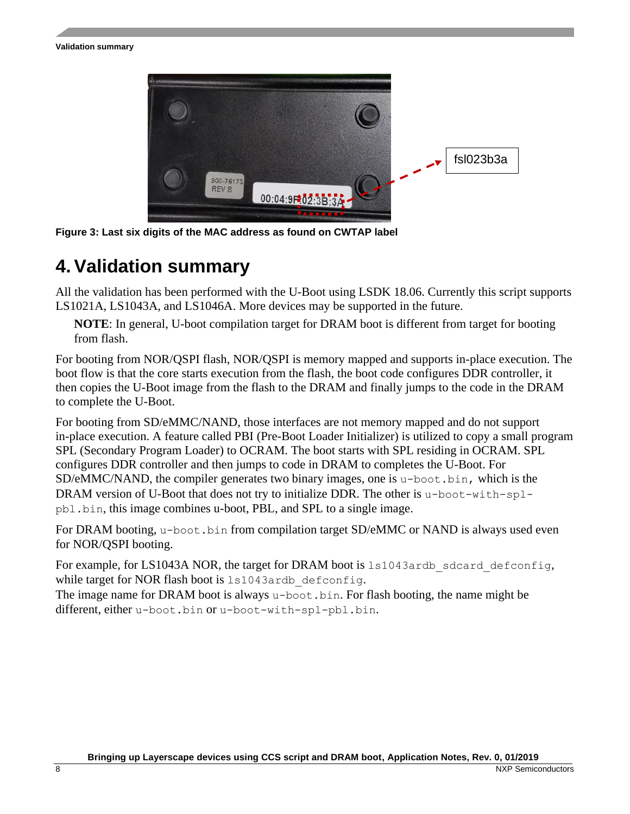

**Figure 3: Last six digits of the MAC address as found on CWTAP label**

### <span id="page-7-0"></span>**4.Validation summary**

All the validation has been performed with the U-Boot using LSDK 18.06. Currently this script supports LS1021A, LS1043A, and LS1046A. More devices may be supported in the future.

**NOTE**: In general, U-boot compilation target for DRAM boot is different from target for booting from flash.

For booting from NOR/QSPI flash, NOR/QSPI is memory mapped and supports in-place execution. The boot flow is that the core starts execution from the flash, the boot code configures DDR controller, it then copies the U-Boot image from the flash to the DRAM and finally jumps to the code in the DRAM to complete the U-Boot.

For booting from SD/eMMC/NAND, those interfaces are not memory mapped and do not support in-place execution. A feature called PBI (Pre-Boot Loader Initializer) is utilized to copy a small program SPL (Secondary Program Loader) to OCRAM. The boot starts with SPL residing in OCRAM. SPL configures DDR controller and then jumps to code in DRAM to completes the U-Boot. For  $SD/eMMC/NAND$ , the compiler generates two binary images, one is u-boot.bin, which is the DRAM version of U-Boot that does not try to initialize DDR. The other is  $u$ -boot-with-splpbl.bin, this image combines u-boot, PBL, and SPL to a single image.

For DRAM booting, u-boot.bin from compilation target SD/eMMC or NAND is always used even for NOR/QSPI booting.

For example, for LS1043A NOR, the target for DRAM boot is 1s1043ardb sdcard defconfig, while target for NOR flash boot is 1s1043ardb defconfig.

The image name for DRAM boot is always u-boot.bin. For flash booting, the name might be different, either u-boot.bin or u-boot-with-spl-pbl.bin.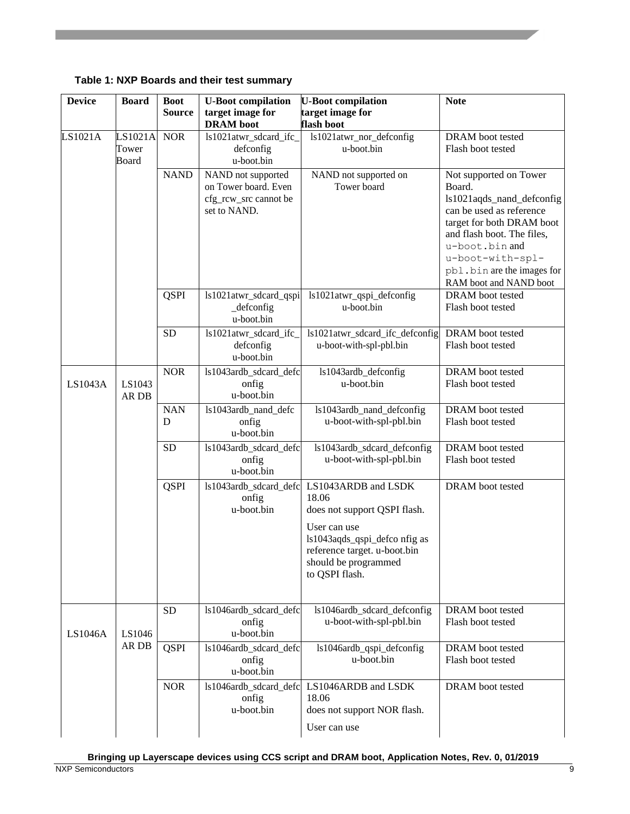**Table 1: NXP Boards and their test summary**

| <b>Device</b> | <b>Board</b>              | <b>Boot</b>     | <b>U-Boot compilation</b>                                                           | <b>U-Boot compilation</b>                                                                                                                                                               | <b>Note</b>                                                                                                                                                                                                                                        |
|---------------|---------------------------|-----------------|-------------------------------------------------------------------------------------|-----------------------------------------------------------------------------------------------------------------------------------------------------------------------------------------|----------------------------------------------------------------------------------------------------------------------------------------------------------------------------------------------------------------------------------------------------|
|               |                           | <b>Source</b>   | target image for<br><b>DRAM</b> boot                                                | target image for<br>flash boot                                                                                                                                                          |                                                                                                                                                                                                                                                    |
| LS1021A       | LS1021A<br>Tower<br>Board | <b>NOR</b>      | ls1021atwr_sdcard_ifc_<br>defconfig<br>u-boot.bin                                   | ls1021atwr_nor_defconfig<br>u-boot.bin                                                                                                                                                  | DRAM boot tested<br>Flash boot tested                                                                                                                                                                                                              |
|               |                           | <b>NAND</b>     | NAND not supported<br>on Tower board. Even<br>cfg_rcw_src cannot be<br>set to NAND. | NAND not supported on<br>Tower board                                                                                                                                                    | Not supported on Tower<br>Board.<br>ls1021aqds_nand_defconfig<br>can be used as reference<br>target for both DRAM boot<br>and flash boot. The files,<br>u-boot.bin and<br>u-boot-with-spl-<br>pbl.bin are the images for<br>RAM boot and NAND boot |
|               |                           | <b>QSPI</b>     | ls1021atwr_sdcard_qspi<br>$\_\$ {defconfig}<br>u-boot.bin                           | ls1021atwr_qspi_defconfig<br>u-boot.bin                                                                                                                                                 | DRAM boot tested<br>Flash boot tested                                                                                                                                                                                                              |
|               |                           | <b>SD</b>       | ls1021atwr_sdcard_ifc_<br>defconfig<br>u-boot.bin                                   | ls1021atwr_sdcard_ifc_defconfig<br>u-boot-with-spl-pbl.bin                                                                                                                              | <b>DRAM</b> boot tested<br>Flash boot tested                                                                                                                                                                                                       |
| LS1043A       | LS1043<br>AR DB           | <b>NOR</b>      | ls1043ardb sdcard defc<br>onfig<br>u-boot.bin                                       | ls1043ardb_defconfig<br>u-boot.bin                                                                                                                                                      | DRAM boot tested<br>Flash boot tested                                                                                                                                                                                                              |
|               |                           | <b>NAN</b><br>D | ls1043ardb_nand_defc<br>onfig<br>u-boot.bin                                         | ls1043ardb_nand_defconfig<br>u-boot-with-spl-pbl.bin                                                                                                                                    | DRAM boot tested<br>Flash boot tested                                                                                                                                                                                                              |
|               |                           | <b>SD</b>       | ls1043ardb_sdcard_defc<br>onfig<br>u-boot.bin                                       | ls1043ardb_sdcard_defconfig<br>u-boot-with-spl-pbl.bin                                                                                                                                  | DRAM boot tested<br>Flash boot tested                                                                                                                                                                                                              |
|               |                           | <b>QSPI</b>     | ls1043ardb_sdcard_defc<br>onfig<br>u-boot.bin                                       | LS1043ARDB and LSDK<br>18.06<br>does not support QSPI flash.<br>User can use<br>ls1043aqds_qspi_defco nfig as<br>reference target. u-boot.bin<br>should be programmed<br>to QSPI flash. | DRAM boot tested                                                                                                                                                                                                                                   |
| LS1046A       | LS1046<br>AR DB           | <b>SD</b>       | ls1046ardb_sdcard_defc<br>onfig<br>u-boot.bin                                       | ls1046ardb_sdcard_defconfig<br>u-boot-with-spl-pbl.bin                                                                                                                                  | DRAM boot tested<br>Flash boot tested                                                                                                                                                                                                              |
|               |                           | <b>QSPI</b>     | ls1046ardb_sdcard_defc<br>onfig<br>u-boot.bin                                       | ls1046ardb_qspi_defconfig<br>u-boot.bin                                                                                                                                                 | DRAM boot tested<br>Flash boot tested                                                                                                                                                                                                              |
|               |                           | <b>NOR</b>      | ls1046ardb sdcard defc<br>onfig<br>u-boot.bin                                       | LS1046ARDB and LSDK<br>18.06<br>does not support NOR flash.<br>User can use                                                                                                             | DRAM boot tested                                                                                                                                                                                                                                   |

**Bringing up Layerscape devices using CCS script and DRAM boot, Application Notes, Rev. 0, 01/2019**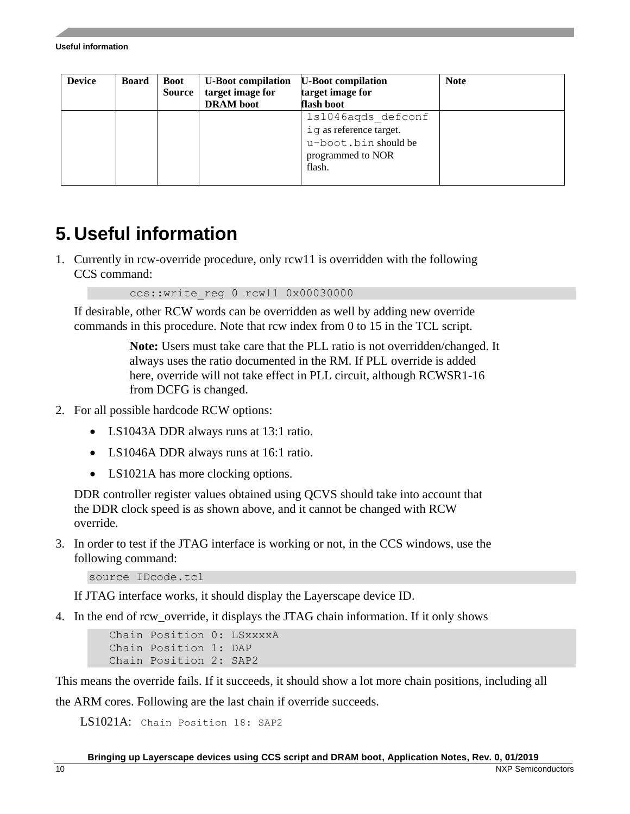#### **Useful information**

| <b>Device</b> | <b>Board</b> | <b>Boot</b><br><b>Source</b> | <b>U-Boot compilation</b><br>target image for | <b>U-Boot compilation</b><br>target image for | <b>Note</b> |
|---------------|--------------|------------------------------|-----------------------------------------------|-----------------------------------------------|-------------|
|               |              |                              | <b>DRAM</b> boot                              | flash boot                                    |             |
|               |              |                              |                                               | 1s1046aqds defconf                            |             |
|               |              |                              |                                               | iq as reference target.                       |             |
|               |              |                              |                                               | u-boot.bin should be                          |             |
|               |              |                              |                                               | programmed to NOR                             |             |
|               |              |                              |                                               | flash.                                        |             |
|               |              |                              |                                               |                                               |             |

### <span id="page-9-0"></span>**5. Useful information**

1. Currently in rcw-override procedure, only rcw11 is overridden with the following CCS command:

ccs::write\_reg 0 rcw11 0x00030000

If desirable, other RCW words can be overridden as well by adding new override commands in this procedure. Note that rcw index from 0 to 15 in the TCL script.

> **Note:** Users must take care that the PLL ratio is not overridden/changed. It always uses the ratio documented in the RM. If PLL override is added here, override will not take effect in PLL circuit, although RCWSR1-16 from DCFG is changed.

- 2. For all possible hardcode RCW options:
	- LS1043A DDR always runs at 13:1 ratio.
	- LS1046A DDR always runs at 16:1 ratio.
	- LS1021A has more clocking options.

DDR controller register values obtained using QCVS should take into account that the DDR clock speed is as shown above, and it cannot be changed with RCW override.

3. In order to test if the JTAG interface is working or not, in the CCS windows, use the following command:

```
source IDcode.tcl
```
If JTAG interface works, it should display the Layerscape device ID.

4. In the end of rcw\_override, it displays the JTAG chain information. If it only shows

 Chain Position 0: LSxxxxA Chain Position 1: DAP Chain Position 2: SAP2

This means the override fails. If it succeeds, it should show a lot more chain positions, including all

the ARM cores. Following are the last chain if override succeeds.

LS1021A: Chain Position 18: SAP2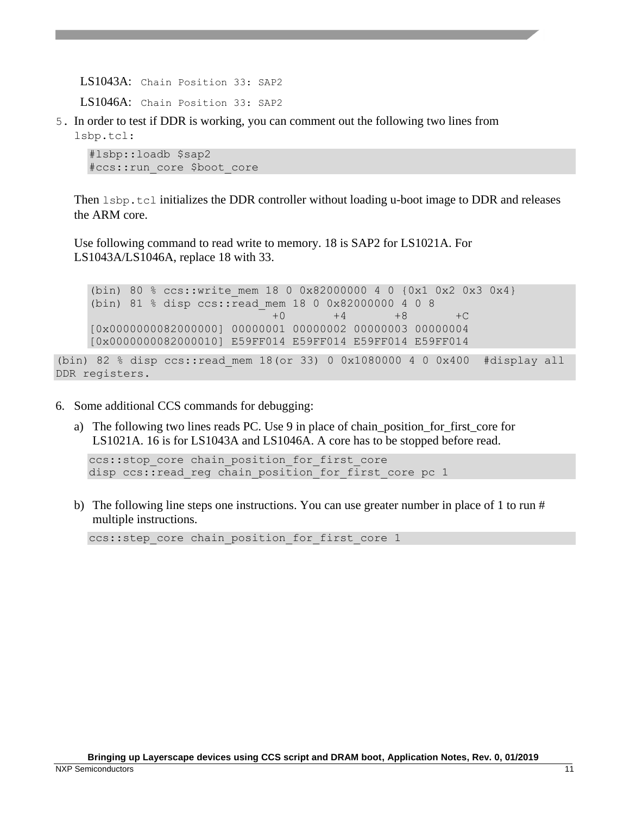LS1043A: Chain Position 33: SAP2

LS1046A: Chain Position 33: SAP2

5. In order to test if DDR is working, you can comment out the following two lines from lsbp.tcl:

#lsbp::loadb \$sap2 #ccs::run\_core \$boot\_core

Then  $l$  sbp.tcl initializes the DDR controller without loading u-boot image to DDR and releases the ARM core.

Use following command to read write to memory. 18 is SAP2 for LS1021A. For LS1043A/LS1046A, replace 18 with 33.

(bin) 80 % ccs::write mem 18 0 0x82000000 4 0  ${0x1}$  0x2 0x3 0x4} (bin) 81 % disp ccs::read\_mem 18 0 0x82000000 4 0 8 +0 +4 +8 +C [0x0000000082000000] 00000001 00000002 00000003 00000004 [0x0000000082000010] E59FF014 E59FF014 E59FF014 E59FF014

```
(bin) 82 % disp ccs::read mem 18(or 33) 0 0x1080000 4 0 0x400 #display all
DDR registers.
```
- 6. Some additional CCS commands for debugging:
	- a) The following two lines reads PC. Use 9 in place of chain\_position\_for\_first\_core for LS1021A. 16 is for LS1043A and LS1046A. A core has to be stopped before read.

```
ccs::stop core chain position for first core
disp ccs:: read reg chain position for first core pc 1
```
b) The following line steps one instructions. You can use greater number in place of 1 to run  $#$ multiple instructions.

ccs::step core chain position for first core 1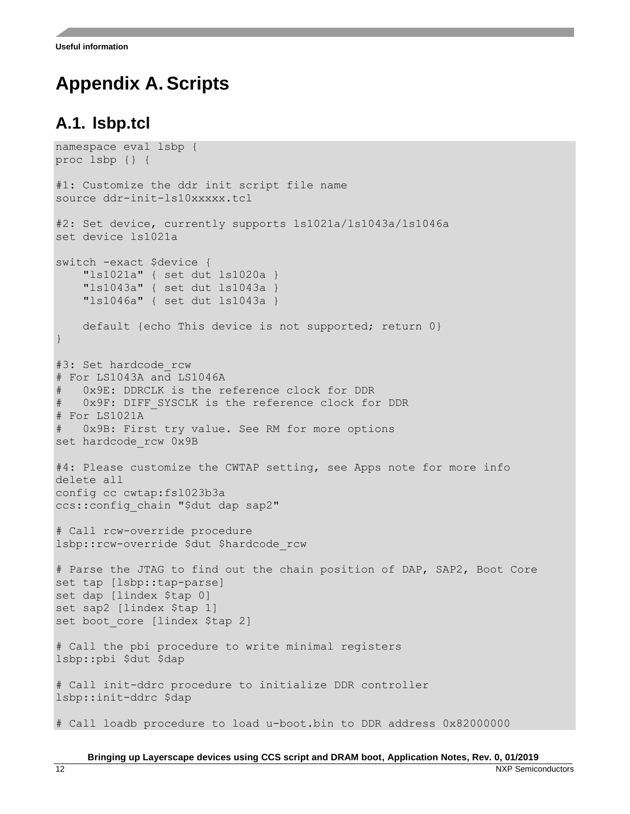### <span id="page-11-0"></span>**Appendix A. Scripts**

#### <span id="page-11-1"></span>**A.1. lsbp.tcl**

```
namespace eval lsbp {
proc lsbp {} {
#1: Customize the ddr init script file name
source ddr-init-ls10xxxxx.tcl
#2: Set device, currently supports ls1021a/ls1043a/ls1046a
set device ls1021a
switch -exact $device {
     "ls1021a" { set dut ls1020a }
     "ls1043a" { set dut ls1043a }
     "ls1046a" { set dut ls1043a }
     default {echo This device is not supported; return 0}
}
#3: Set hardcode rcw
# For LS1043A and LS1046A
    0x9E: DDRCLK is the reference clock for DDR
   0x9F: DIFF SYSCLK is the reference clock for DDR
# For LS1021A
    0x9B: First try value. See RM for more options
set hardcode_rcw 0x9B
#4: Please customize the CWTAP setting, see Apps note for more info
delete all
config cc cwtap:fsl023b3a
ccs:: config chain "$dut dap sap2"
# Call rcw-override procedure
lsbp::rcw-override $dut $hardcode_rcw
# Parse the JTAG to find out the chain position of DAP, SAP2, Boot Core 
set tap [lsbp::tap-parse]
set dap [lindex $tap 0]
set sap2 [lindex $tap 1]
set boot core [lindex $tap 2]
# Call the pbi procedure to write minimal registers
lsbp::pbi $dut $dap
# Call init-ddrc procedure to initialize DDR controller
lsbp::init-ddrc $dap
# Call loadb procedure to load u-boot.bin to DDR address 0x82000000
```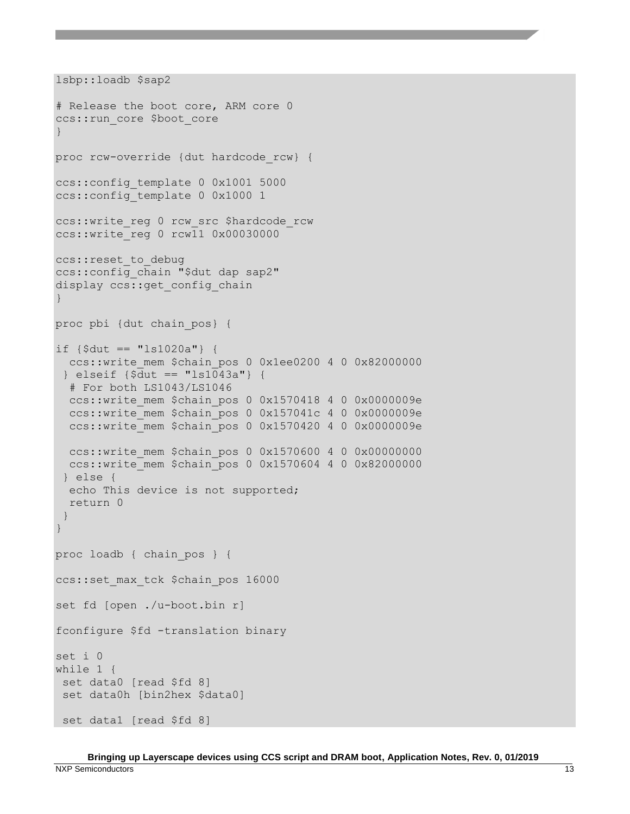```
lsbp::loadb $sap2
# Release the boot core, ARM core 0
ccs:: run core $boot core
}
proc rcw-override {dut hardcode_rcw} {
ccs::config_template 0 0x1001 5000 
ccs::config_template 0 0x1000 1
ccs::write reg 0 rcw src $hardcode rcw
ccs::write_reg 0 rcw11 0x00030000
ccs::reset_to_debug
ccs::config_chain "$dut dap sap2"
display ccs:: get config chain
}
proc pbi {dut chain_pos} {
if {\{\text{S}dut} == "ls1020a"}\} ccs::write_mem $chain_pos 0 0x1ee0200 4 0 0x82000000
 } elseif {$dut == "ls1043a"} {
   # For both LS1043/LS1046
   ccs::write_mem $chain_pos 0 0x1570418 4 0 0x0000009e
  ccs::write mem $chain pos 0 0x157041c 4 0 0x0000009e
  ccs::write mem $chain pos 0 0x1570420 4 0 0x0000009e
   ccs::write_mem $chain_pos 0 0x1570600 4 0 0x00000000
  ccs::write_mem $chain_pos 0 0x1570604 4 0 0x82000000
 } else {
   echo This device is not supported; 
   return 0
 }
}
proc loadb { chain_pos } {
ccs::set max tck $chain pos 16000
set fd [open ./u-boot.bin r]
fconfigure $fd -translation binary
set i 0
while 1 {
 set data0 [read $fd 8]
set data0h [bin2hex $data0]
set data1 [read $fd 8]
```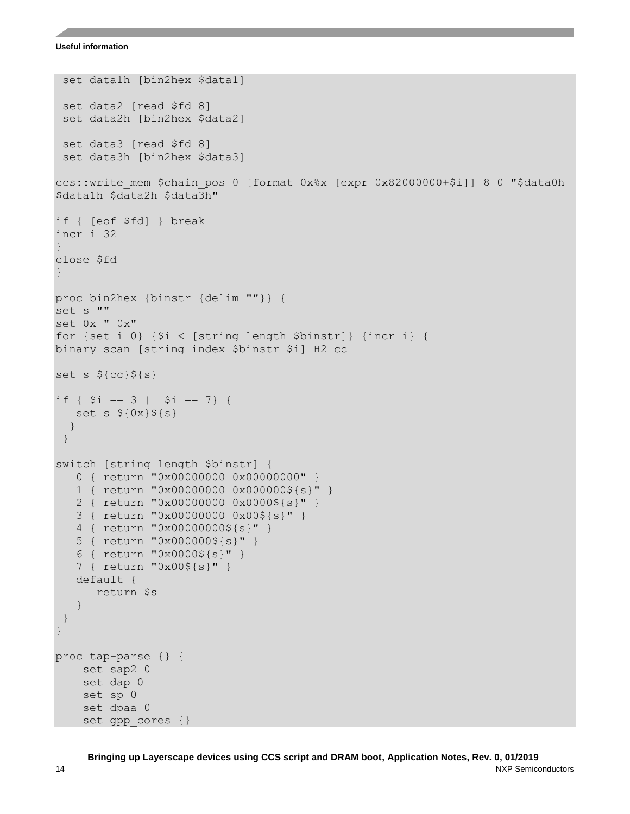#### **Useful information**

```
set data1h [bin2hex $data1]
set data2 [read $fd 8]
set data2h [bin2hex $data2]
set data3 [read $fd 8]
set data3h [bin2hex $data3]
ccs::write mem $chain pos 0 [format 0x%x [expr 0x82000000+$i]] 8 0 "$data0h
$data1h $data2h $data3h"
if { [eof $fd] } break 
incr i 32
} 
close $fd
}
proc bin2hex {binstr {delim ""}} {
set s ""
set 0x " 0x"
for {set i 0} {$i < [string length $binstr]} {incr i} {
binary scan [string index $binstr $i] H2 cc
set s ${cc}${s}
if { $i = 3 || $i = 7} {
  set s {0x} {s(s)} }
}
switch [string length $binstr] {
    0 { return "0x00000000 0x00000000" }
    1 { return "0x00000000 0x000000${s}" }
    2 { return "0x00000000 0x0000${s}" }
    3 { return "0x00000000 0x00${s}" }
    4 { return "0x00000000${s}" }
    5 { return "0x000000${s}" }
    6 { return "0x0000${s}" }
    7 { return "0x00${s}" }
    default {
       return $s
    }
 }
}
proc tap-parse {} {
     set sap2 0
     set dap 0
     set sp 0
     set dpaa 0
    set gpp cores {}
```
**Bringing up Layerscape devices using CCS script and DRAM boot, Application Notes, Rev. 0, 01/2019**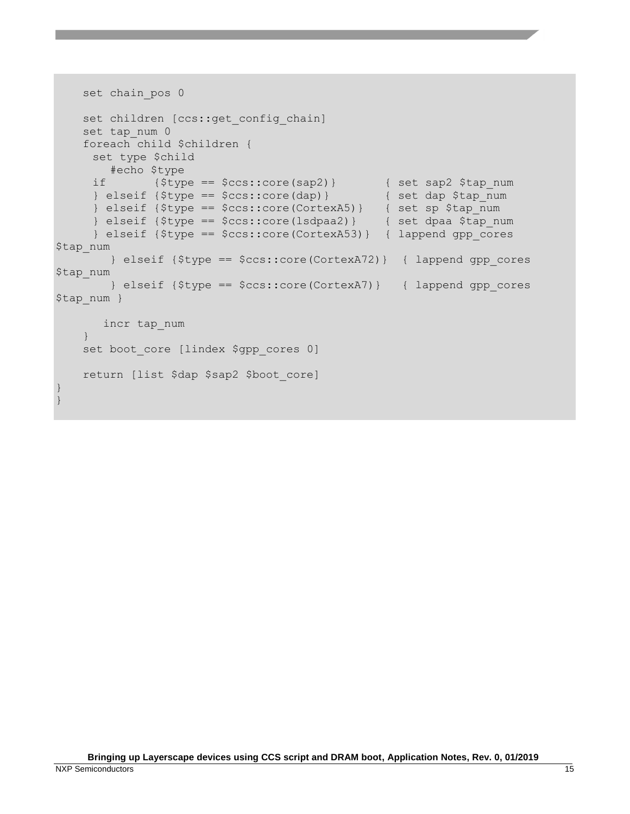```
set chain pos 0
   set children [ccs::get config chain]
    set tap_num 0
    foreach child $children {
     set type $child
        #echo $type
     if {$type == $ccs::core(sap2)} { set sap2 $tap_num
     } elseif {$type == $ccs::core(dap)} { set dap $tap_num
     } elseif {$type == $ccs::core(CortexA5)} { set sp $tap_num
     } elseif {$type == $ccs::core(lsdpaa2)} { set dpaa $tap_num
     } elseif {$type == $ccs::core(CortexA53)} { lappend gpp_cores 
$tap_num 
        } elseif {$type == $ccs::core(CortexA72)} { lappend gpp_cores 
$tap_num
        } elseif {$type == $ccs::core(CortexA7)} { lappend gpp_cores 
$tap_num }
       incr tap_num
     } 
   set boot core [lindex $gpp cores 0]
    return [list $dap $sap2 $boot_core]
}
}
```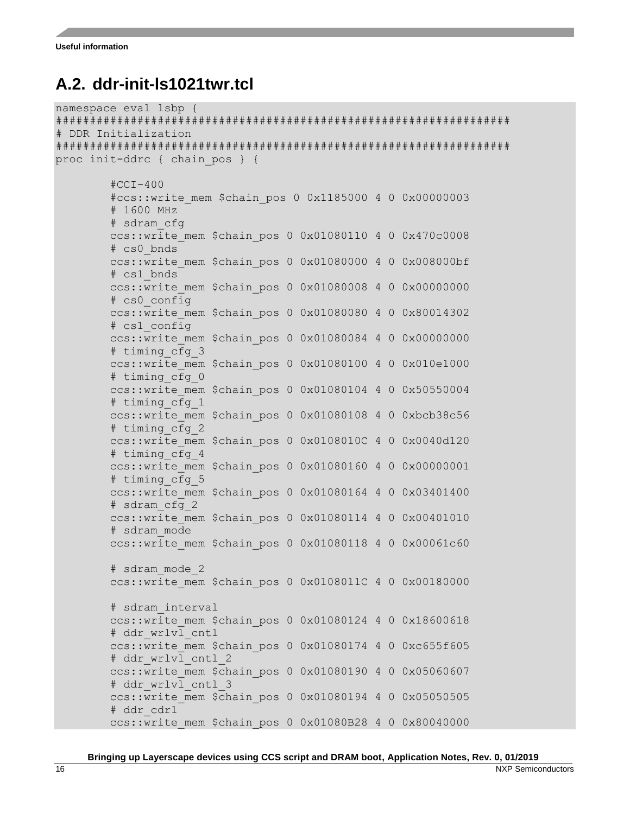#### <span id="page-15-0"></span>**A.2. ddr-init-ls1021twr.tcl**

```
namespace eval lsbp {
###################################################################
# DDR Initialization
###################################################################
proc init-ddrc { chain_pos } {
        #CCI-400 #ccs::write_mem $chain_pos 0 0x1185000 4 0 0x00000003
         # 1600 MHz
         # sdram_cfg
         ccs::write_mem $chain_pos 0 0x01080110 4 0 0x470c0008
         # cs0_bnds
        ccs::write mem $chain pos 0 0x01080000 4 0 0x008000bf
         # cs1_bnds
         ccs::write_mem $chain_pos 0 0x01080008 4 0 0x00000000
         # cs0_config
         ccs::write_mem $chain_pos 0 0x01080080 4 0 0x80014302
         # cs1_config
         ccs::write_mem $chain_pos 0 0x01080084 4 0 0x00000000
         # timing_cfg_3
         ccs::write_mem $chain_pos 0 0x01080100 4 0 0x010e1000
         # timing_cfg_0
         ccs::write_mem $chain_pos 0 0x01080104 4 0 0x50550004
         # timing_cfg_1
         ccs::write_mem $chain_pos 0 0x01080108 4 0 0xbcb38c56
         # timing_cfg_2
         ccs::write_mem $chain_pos 0 0x0108010C 4 0 0x0040d120
         # timing_cfg_4
         ccs::write_mem $chain_pos 0 0x01080160 4 0 0x00000001
         # timing_cfg_5
         ccs::write_mem $chain_pos 0 0x01080164 4 0 0x03401400
         # sdram_cfg_2
         ccs::write_mem $chain_pos 0 0x01080114 4 0 0x00401010
         # sdram_mode
         ccs::write_mem $chain_pos 0 0x01080118 4 0 0x00061c60
         # sdram_mode_2
         ccs::write_mem $chain_pos 0 0x0108011C 4 0 0x00180000
         # sdram_interval
         ccs::write_mem $chain_pos 0 0x01080124 4 0 0x18600618
         # ddr_wrlvl_cntl
        ccs::write mem $chain pos 0 0x01080174 4 0 0xc655f605
        # ddr wrlvl cntl 2
         ccs::write_mem $chain_pos 0 0x01080190 4 0 0x05060607
        # ddr wrlvl cntl 3
         ccs::write_mem $chain_pos 0 0x01080194 4 0 0x05050505
         # ddr_cdr1
         ccs::write_mem $chain_pos 0 0x01080B28 4 0 0x80040000
```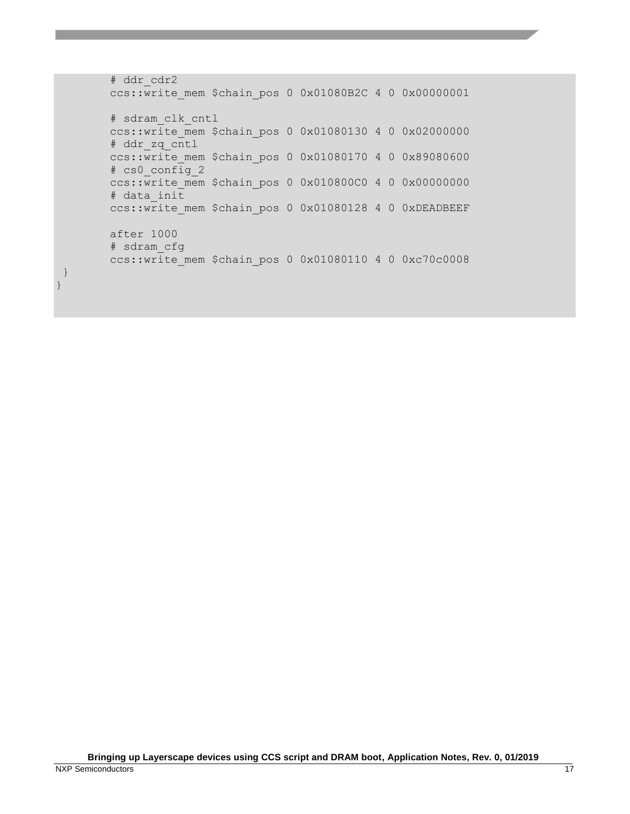```
 # ddr_cdr2
 ccs::write_mem $chain_pos 0 0x01080B2C 4 0 0x00000001
 # sdram_clk_cntl
 ccs::write_mem $chain_pos 0 0x01080130 4 0 0x02000000
 # ddr_zq_cntl
 ccs::write_mem $chain_pos 0 0x01080170 4 0 0x89080600
 # cs0_config_2
 ccs::write_mem $chain_pos 0 0x010800C0 4 0 0x00000000
 # data_init
ccs::write mem $chain pos 0 0x01080128 4 0 0xDEADBEEF
 after 1000
 # sdram_cfg
 ccs::write_mem $chain_pos 0 0x01080110 4 0 0xc70c0008
```
} }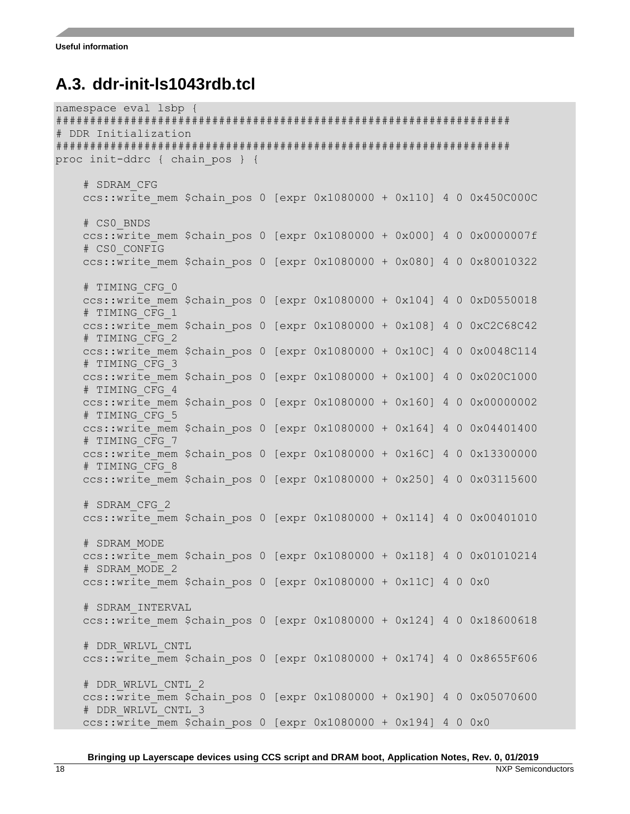#### <span id="page-17-0"></span>**A.3. ddr-init-ls1043rdb.tcl**

```
namespace eval lsbp {
###################################################################
# DDR Initialization
###################################################################
proc init-ddrc { chain_pos } {
     # SDRAM_CFG
    ccs::write mem $chain pos 0 [expr 0x1080000 + 0x110] 4 0 0x450C000C
     # CS0_BNDS
    ccs::write mem $chain pos 0 [expr 0x1080000 + 0x0001 4 0 0x0000007f
     # CS0_CONFIG
    ccs::write mem $chain pos 0 [expr 0x1080000 + 0x080] 4 0 0x80010322
     # TIMING_CFG_0
    ccs::write mem $chain pos 0 [expr 0x1080000 + 0x104] 4 0 0xD0550018
     # TIMING_CFG_1
    ccs::write mem $chain pos 0 [expr 0x1080000 + 0x108] 4 0 0xC2C68C42
     # TIMING_CFG_2
    ccs::write mem $chain pos 0 [expr 0x1080000 + 0x10C] 4 0 0x0048C114
     # TIMING_CFG_3
    ccs::write mem $chain pos 0 [expr 0x1080000 + 0x100] 4 0 0x020C1000
     # TIMING_CFG_4
    ccs::write mem $chain pos 0 [expr 0x1080000 + 0x160] 4 0 0x00000002
     # TIMING_CFG_5
    ccs::write mem $chain pos 0 [expr 0x1080000 + 0x164] 4 0 0x04401400
     # TIMING_CFG_7
     ccs::write_mem $chain_pos 0 [expr 0x1080000 + 0x16C] 4 0 0x13300000
     # TIMING_CFG_8
    ccs::write mem $chain pos 0 [expr 0x1080000 + 0x250] 4 0 0x03115600
     # SDRAM_CFG_2
    ccs::write mem $chain pos 0 [expr 0x1080000 + 0x114] 4 0 0x00401010
     # SDRAM_MODE
    ccs::write mem $chain pos 0 [expr 0x1080000 + 0x118] 4 0 0x01010214
     # SDRAM_MODE_2
    ccs::write mem $chain pos 0 [expr 0x1080000 + 0x11C] 4 0 0x0
     # SDRAM_INTERVAL
    ccs::write mem $chain pos 0 [expr 0x1080000 + 0x124] 4 0 0x18600618
     # DDR_WRLVL_CNTL
    ccs::write mem $chain pos 0 [expr 0x1080000 + 0x174] 4 0 0x8655F606
     # DDR_WRLVL_CNTL_2
    ccs::write mem $chain pos 0 [expr 0x1080000 + 0x190] 4 0 0x05070600
    # DDR WRLVL CNTL 3
    ccs::write mem $chain pos 0 [expr 0x1080000 + 0x194] 4 0 0x0
```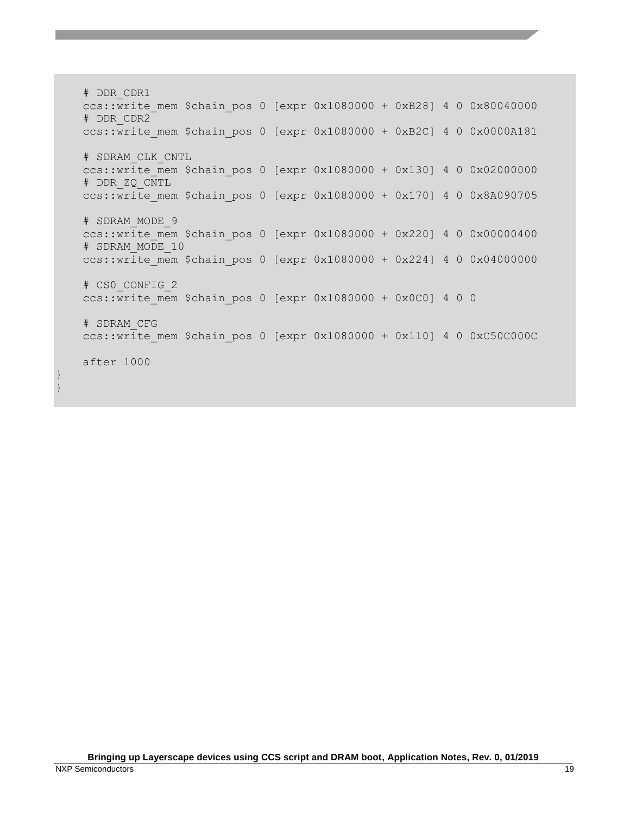# DDR\_CDR1  $ccs:$ :write mem \$chain pos 0 [expr 0x1080000 + 0xB28] 4 0 0x80040000 # DDR\_CDR2  $ccs::write$  mem \$chain pos 0 [expr 0x1080000 + 0xB2C] 4 0 0x0000A181 # SDRAM\_CLK\_CNTL  $ccs::write$  mem \$chain pos 0 [expr 0x1080000 + 0x130] 4 0 0x02000000 # DDR\_ZQ\_CNTL ccs::write mem \$chain pos 0 [expr 0x1080000 + 0x170] 4 0 0x8A090705 # SDRAM\_MODE\_9  $ccs::write$  mem \$chain pos 0 [expr 0x1080000 + 0x220] 4 0 0x00000400 # SDRAM\_MODE\_10  $ccs::write$  mem \$chain pos 0 [expr 0x1080000 + 0x224] 4 0 0x04000000 # CS0\_CONFIG\_2  $ccs::write$  mem \$chain pos 0 [expr 0x1080000 + 0x0C0] 4 0 0 # SDRAM\_CFG  $ccs::write$  mem \$chain pos 0 [expr 0x1080000 + 0x110] 4 0 0xC50C000C after 1000

} }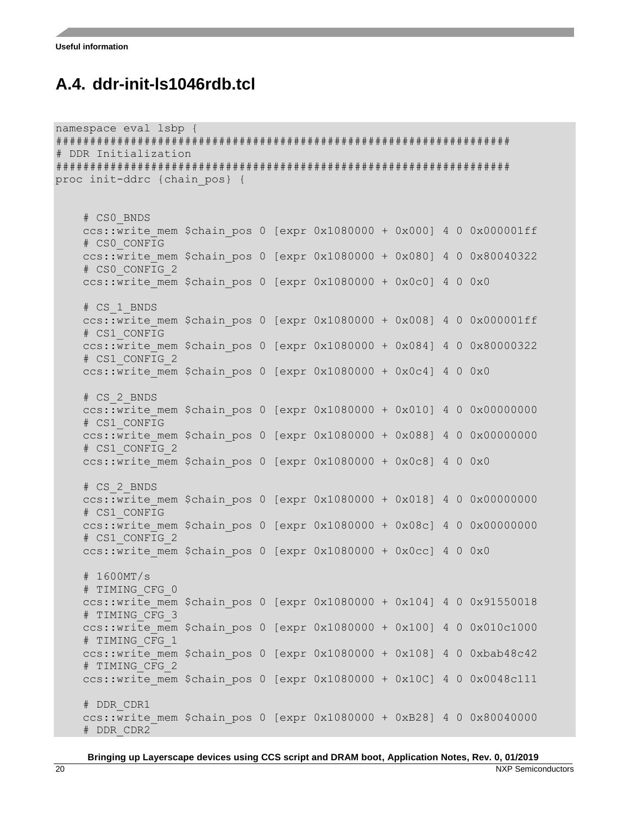#### <span id="page-19-0"></span>**A.4. ddr-init-ls1046rdb.tcl**

```
namespace eval lsbp {
###################################################################
# DDR Initialization
###################################################################
proc init-ddrc {chain_pos} {
     # CS0_BNDS
    ccs::write mem $chain pos 0 [expr 0x1080000 + 0x000] 4 0 0x000001ff
     # CS0_CONFIG
    ccs::write mem $chain pos 0 [expr 0x1080000 + 0x080] 4 0 0x80040322 # CS0_CONFIG_2
    ccs::write mem $chain pos 0 [expr 0x1080000 + 0x0c0] 4 0 0x0
     # CS_1_BNDS
    ccs::write mem $chain pos 0 [expr 0x1080000 + 0x008] 4 0 0x000001ff
     # CS1_CONFIG
    ccs::write mem $chain pos 0 [expr 0x1080000 + 0x084] 4 0 0x80000322
     # CS1_CONFIG_2
    ccs::write mem $chain pos 0 [expr 0x1080000 + 0x0c4] 4 0 0x0
     # CS_2_BNDS
    ccs::write mem $chain pos 0 [expr 0x1080000 + 0x010] 4 0 0x00000000
     # CS1_CONFIG
    ccs::write mem $chain pos 0 [expr 0x1080000 + 0x088] 4 0 0x00000000
     # CS1_CONFIG_2
     ccs::write_mem $chain_pos 0 [expr 0x1080000 + 0x0c8] 4 0 0x0
     # CS_2_BNDS
    ccs::write mem $chain pos 0 [expr 0x1080000 + 0x018] 4 0 0x00000000
     # CS1_CONFIG
    ccs::write mem $chain pos 0 [expr 0x1080000 + 0x08c] 4 0 0x00000000
     # CS1_CONFIG_2
    ccs::write mem $chain pos 0 [expr 0x1080000 + 0x0cc] 4 0 0x0
     # 1600MT/s
     # TIMING_CFG_0
    ccs::write mem $chain pos 0 [expr 0x1080000 + 0x104] 4 0 0x91550018
     # TIMING_CFG_3
    ccs::write mem $chain pos 0 [expr 0x1080000 + 0x100] 4 0 0x010c1000
     # TIMING_CFG_1
    ccs::write mem $chain pos 0 [expr 0x1080000 + 0x108] 4 0 0xbab48c42
     # TIMING_CFG_2
    ccs::write mem $chain pos 0 [expr 0x1080000 + 0x10C] 4 0 0x0048c111
     # DDR_CDR1
    ccs::write mem $chain pos 0 [expr 0x1080000 + 0xB28] 4 0 0x80040000
     # DDR_CDR2
```
**Bringing up Layerscape devices using CCS script and DRAM boot, Application Notes, Rev. 0, 01/2019**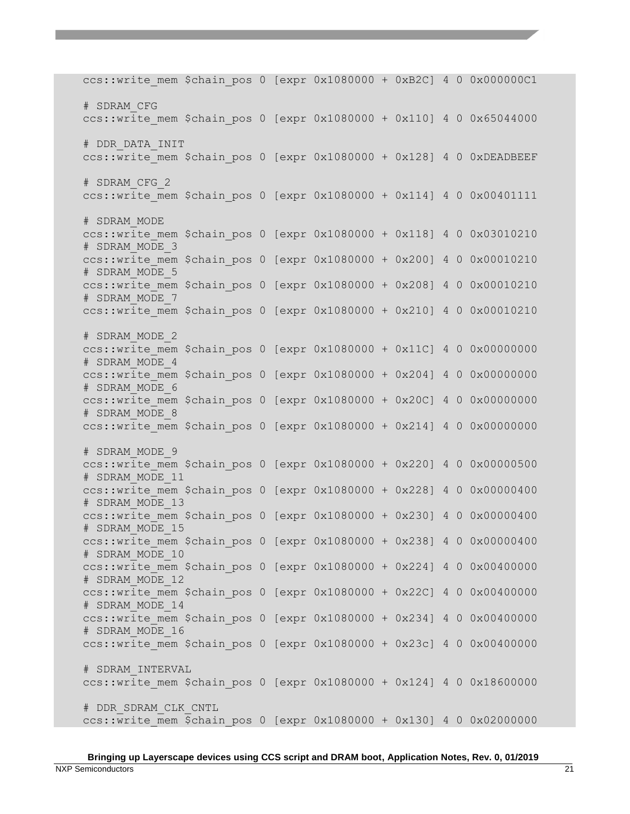ccs::write mem \$chain pos 0 [expr  $0x1080000 + 0xB2C$ ] 4 0  $0x000000C1$  # SDRAM\_CFG  $ccs::write$  mem \$chain pos 0 [expr 0x1080000 + 0x110] 4 0 0x65044000 # DDR\_DATA\_INIT  $ccs::write$  mem \$chain pos 0 [expr 0x1080000 + 0x128] 4 0 0xDEADBEEF # SDRAM\_CFG\_2 ccs::write mem \$chain pos 0 [expr 0x1080000 + 0x114] 4 0 0x00401111 # SDRAM\_MODE ccs::write mem \$chain pos 0 [expr 0x1080000 + 0x118] 4 0 0x03010210 # SDRAM\_MODE\_3  $ccs::write$  mem \$chain pos 0 [expr 0x1080000 + 0x200] 4 0 0x00010210 # SDRAM\_MODE\_5  $ccs::write$  mem \$chain pos 0 [expr 0x1080000 + 0x208] 4 0 0x00010210 # SDRAM\_MODE\_7 ccs::write mem \$chain pos 0 [expr 0x1080000 + 0x210] 4 0 0x00010210 # SDRAM\_MODE\_2 ccs::write mem \$chain pos 0 [expr 0x1080000 + 0x11C] 4 0 0x00000000 # SDRAM\_MODE\_4  $ccs:$ :write mem \$chain pos 0 [expr 0x1080000 + 0x204] 4 0 0x00000000 # SDRAM\_MODE\_6  $ccs::write$  mem \$chain pos 0 [expr 0x1080000 + 0x20C] 4 0 0x00000000 # SDRAM\_MODE\_8 ccs::write mem \$chain pos 0  $[expr 0x1080000 + 0x214]$  4 0 0x00000000 # SDRAM\_MODE\_9 ccs::write mem \$chain pos 0  $[expr 0x1080000 + 0x220]$  4 0 0x00000500 # SDRAM\_MODE\_11  $ccs::write$  mem \$chain pos 0 [expr 0x1080000 + 0x228] 4 0 0x00000400 # SDRAM\_MODE\_13  $ccs::write$  mem \$chain pos 0 [expr 0x1080000 + 0x230] 4 0 0x00000400 # SDRAM\_MODE\_15 ccs::write mem \$chain pos 0 [expr 0x1080000 + 0x238] 4 0 0x00000400 # SDRAM\_MODE\_10  $ccs::write$  mem \$chain pos 0 [expr 0x1080000 + 0x224] 4 0 0x00400000 # SDRAM\_MODE\_12  $ccs::write$  mem \$chain pos 0 [expr 0x1080000 + 0x22C] 4 0 0x00400000 # SDRAM\_MODE\_14 ccs::write mem \$chain pos 0  $[expr 0x1080000 + 0x234]$  4 0 0x00400000 # SDRAM\_MODE\_16 ccs::write mem \$chain pos 0 [expr 0x1080000 + 0x23c] 4 0 0x00400000 # SDRAM\_INTERVAL ccs::write mem \$chain pos 0 [expr 0x1080000 + 0x124] 4 0 0x18600000 # DDR\_SDRAM\_CLK\_CNTL  $ccs::write$  mem \$chain pos 0 [expr 0x1080000 + 0x130] 4 0 0x02000000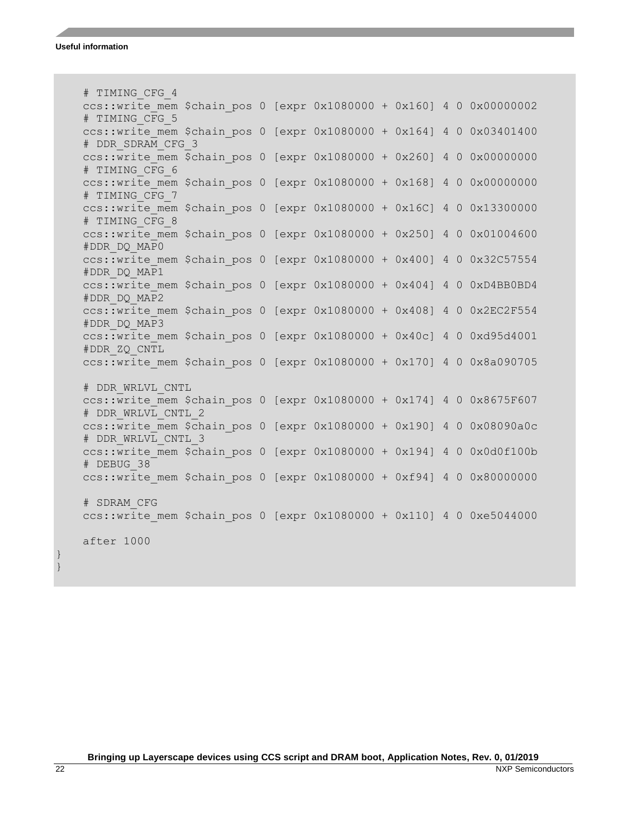```
 # TIMING_CFG_4
ccs::write mem $chain pos 0 [expr 0x1080000 + 0x160] 4 0 0x00000002
 # TIMING_CFG_5
ccs::write mem $chain pos 0 [expr 0x1080000 + 0x164] 4 0 0x03401400
 # DDR_SDRAM_CFG_3
ccs::write mem $chain pos 0 [expr 0x1080000 + 0x260] 4 0 0x00000000
 # TIMING_CFG_6
 ccs::write_mem $chain_pos 0 [expr 0x1080000 + 0x168] 4 0 0x00000000
 # TIMING_CFG_7
ccs::write mem $chain pos 0 [expr 0x1080000 + 0x16C] 4 0 0x13300000 # TIMING_CFG_8
ccs::write mem $chain pos 0 [expr 0x1080000 + 0x250] 4 0 0x01004600
 #DDR_DQ_MAP0
ccs::write mem $chain pos 0 [expr 0x1080000 + 0x400] 4 0 0x32C57554
 #DDR_DQ_MAP1
ccs::write mem $chain pos 0 [expr 0x1080000 + 0x404] 4 0 0xD4BB0BD4
 #DDR_DQ_MAP2
ccs::write mem $chain pos 0 [expr 0x1080000 + 0x408] 4 0 0x2EC2F554
 #DDR_DQ_MAP3
ccs::write mem $chain pos 0 [expr 0x1080000 + 0x40c] 4 0 0xd95d4001
 #DDR_ZQ_CNTL
ccs::write mem $chain pos 0 [expr 0x1080000 + 0x170] 4 0 0x8a090705
 # DDR_WRLVL_CNTL
ccs::write mem $chain pos 0 [expr 0x1080000 + 0x174] 4 0 0x8675F607
 # DDR_WRLVL_CNTL_2
ccs::write mem $chain pos 0 [expr 0x1080000 + 0x190] 4 0 0x08090a0c
# DDR WRLVL CNTL 3
ccs::write mem $chain pos 0 [expr 0x1080000 + 0x194] 4 0 0x0d0f100b
 # DEBUG_38
ccs::write mem $chain pos 0 [expr 0x1080000 + 0xf94] 4 0 0x80000000 # SDRAM_CFG
ccs::write mem $chain pos 0 [expr 0x1080000 + 0x110] 4 0 0xe5044000 after 1000
```
} }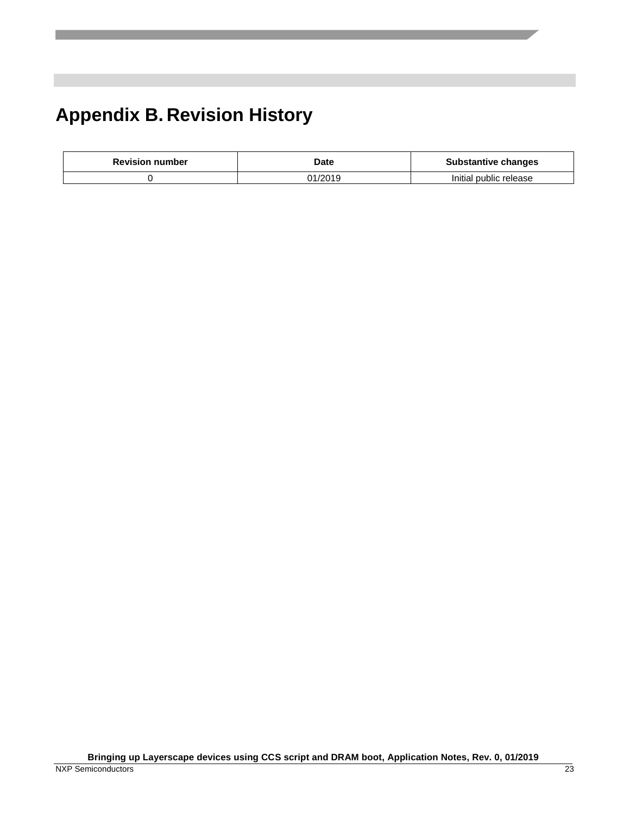## <span id="page-22-0"></span>**Appendix B. Revision History**

| <b>Revision number</b> | Date    | <b>Substantive changes</b> |
|------------------------|---------|----------------------------|
|                        | 01/2019 | Initial public release     |

**Bringing up Layerscape devices using CCS script and DRAM boot, Application Notes, Rev. 0, 01/2019**